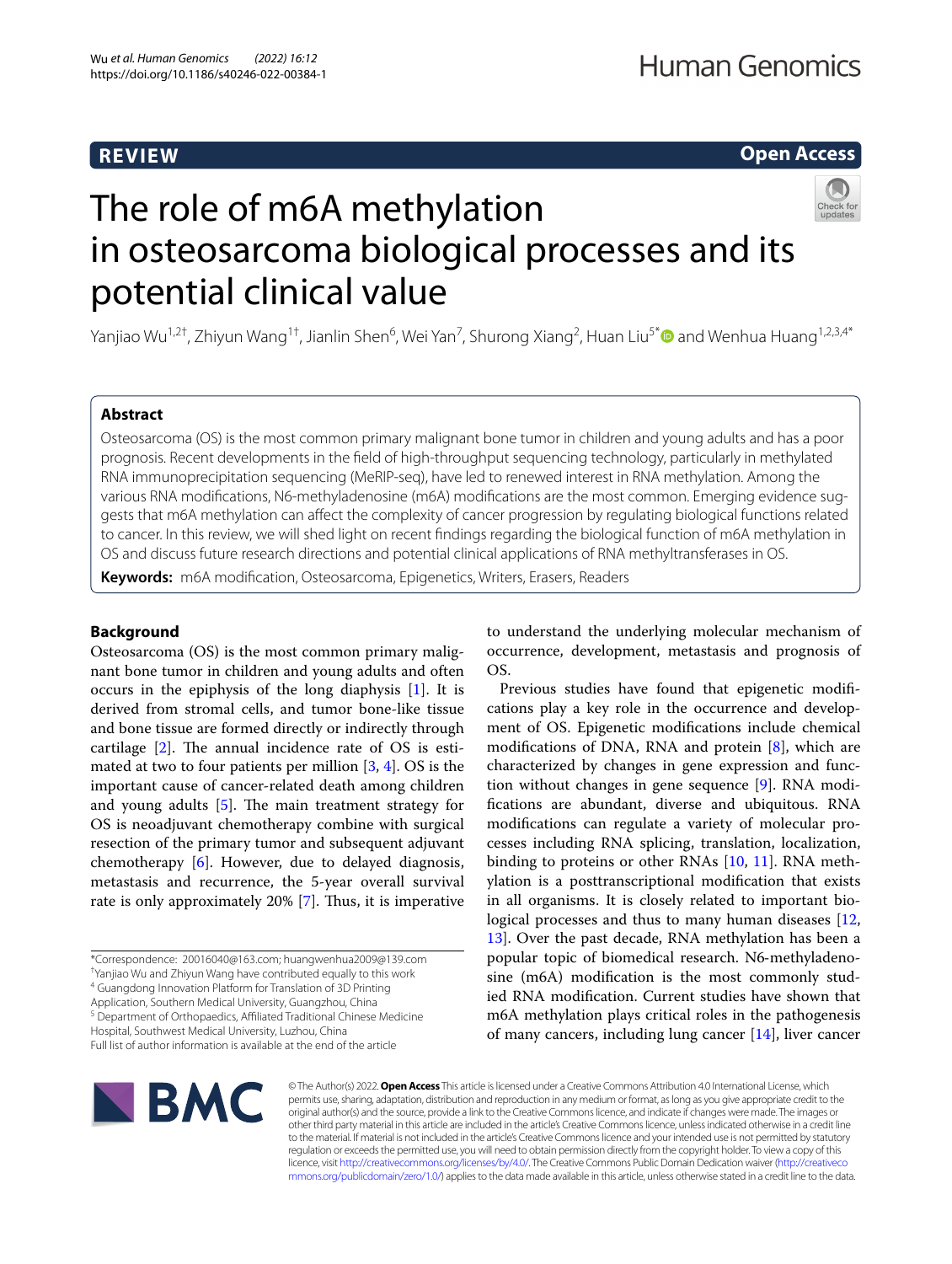# **REVIEW**

# **Open Access**

The role of m6A methylation in osteosarcoma biological processes and its potential clinical value

Yanjiao Wu<sup>1,2†</sup>, Zhiyun Wang<sup>1†</sup>, Jianlin Shen<sup>6</sup>, Wei Yan<sup>7</sup>, Shurong Xiang<sup>2</sup>, Huan Liu<sup>5[\\*](http://orcid.org/0000-0002-5519-7336)</sup>❶ and Wenhua Huang<sup>1,2,3,4\*</sup>

## **Abstract**

Osteosarcoma (OS) is the most common primary malignant bone tumor in children and young adults and has a poor prognosis. Recent developments in the feld of high-throughput sequencing technology, particularly in methylated RNA immunoprecipitation sequencing (MeRIP-seq), have led to renewed interest in RNA methylation. Among the various RNA modifcations, N6-methyladenosine (m6A) modifcations are the most common. Emerging evidence suggests that m6A methylation can afect the complexity of cancer progression by regulating biological functions related to cancer. In this review, we will shed light on recent fndings regarding the biological function of m6A methylation in OS and discuss future research directions and potential clinical applications of RNA methyltransferases in OS.

**Keywords:** m6A modifcation, Osteosarcoma, Epigenetics, Writers, Erasers, Readers

## **Background**

Osteosarcoma (OS) is the most common primary malignant bone tumor in children and young adults and often occurs in the epiphysis of the long diaphysis [\[1](#page-6-0)]. It is derived from stromal cells, and tumor bone-like tissue and bone tissue are formed directly or indirectly through cartilage  $[2]$  $[2]$ . The annual incidence rate of OS is estimated at two to four patients per million  $[3, 4]$  $[3, 4]$  $[3, 4]$ . OS is the important cause of cancer-related death among children and young adults  $[5]$  $[5]$ . The main treatment strategy for OS is neoadjuvant chemotherapy combine with surgical resection of the primary tumor and subsequent adjuvant chemotherapy [\[6](#page-6-5)]. However, due to delayed diagnosis, metastasis and recurrence, the 5-year overall survival rate is only approximately 20% [[7\]](#page-6-6). Thus, it is imperative

† Yanjiao Wu and Zhiyun Wang have contributed equally to this work

<sup>4</sup> Guangdong Innovation Platform for Translation of 3D Printing

Application, Southern Medical University, Guangzhou, China <sup>5</sup> Department of Orthopaedics, Affiliated Traditional Chinese Medicine

Full list of author information is available at the end of the article

to understand the underlying molecular mechanism of occurrence, development, metastasis and prognosis of OS.

Previous studies have found that epigenetic modifcations play a key role in the occurrence and development of OS. Epigenetic modifcations include chemical modifcations of DNA, RNA and protein [[8\]](#page-6-7), which are characterized by changes in gene expression and function without changes in gene sequence [\[9](#page-6-8)]. RNA modifcations are abundant, diverse and ubiquitous. RNA modifcations can regulate a variety of molecular processes including RNA splicing, translation, localization, binding to proteins or other RNAs [\[10,](#page-6-9) [11](#page-6-10)]. RNA methylation is a posttranscriptional modifcation that exists in all organisms. It is closely related to important bio-logical processes and thus to many human diseases [[12](#page-6-11), [13\]](#page-6-12). Over the past decade, RNA methylation has been a popular topic of biomedical research. N6‐methyladenosine (m6A) modifcation is the most commonly studied RNA modifcation. Current studies have shown that m6A methylation plays critical roles in the pathogenesis of many cancers, including lung cancer [[14](#page-6-13)], liver cancer



© The Author(s) 2022. **Open Access** This article is licensed under a Creative Commons Attribution 4.0 International License, which permits use, sharing, adaptation, distribution and reproduction in any medium or format, as long as you give appropriate credit to the original author(s) and the source, provide a link to the Creative Commons licence, and indicate if changes were made. The images or other third party material in this article are included in the article's Creative Commons licence, unless indicated otherwise in a credit line to the material. If material is not included in the article's Creative Commons licence and your intended use is not permitted by statutory regulation or exceeds the permitted use, you will need to obtain permission directly from the copyright holder. To view a copy of this licence, visit [http://creativecommons.org/licenses/by/4.0/.](http://creativecommons.org/licenses/by/4.0/) The Creative Commons Public Domain Dedication waiver ([http://creativeco](http://creativecommons.org/publicdomain/zero/1.0/) [mmons.org/publicdomain/zero/1.0/](http://creativecommons.org/publicdomain/zero/1.0/)) applies to the data made available in this article, unless otherwise stated in a credit line to the data.

<sup>\*</sup>Correspondence: 20016040@163.com; huangwenhua2009@139.com

Hospital, Southwest Medical University, Luzhou, China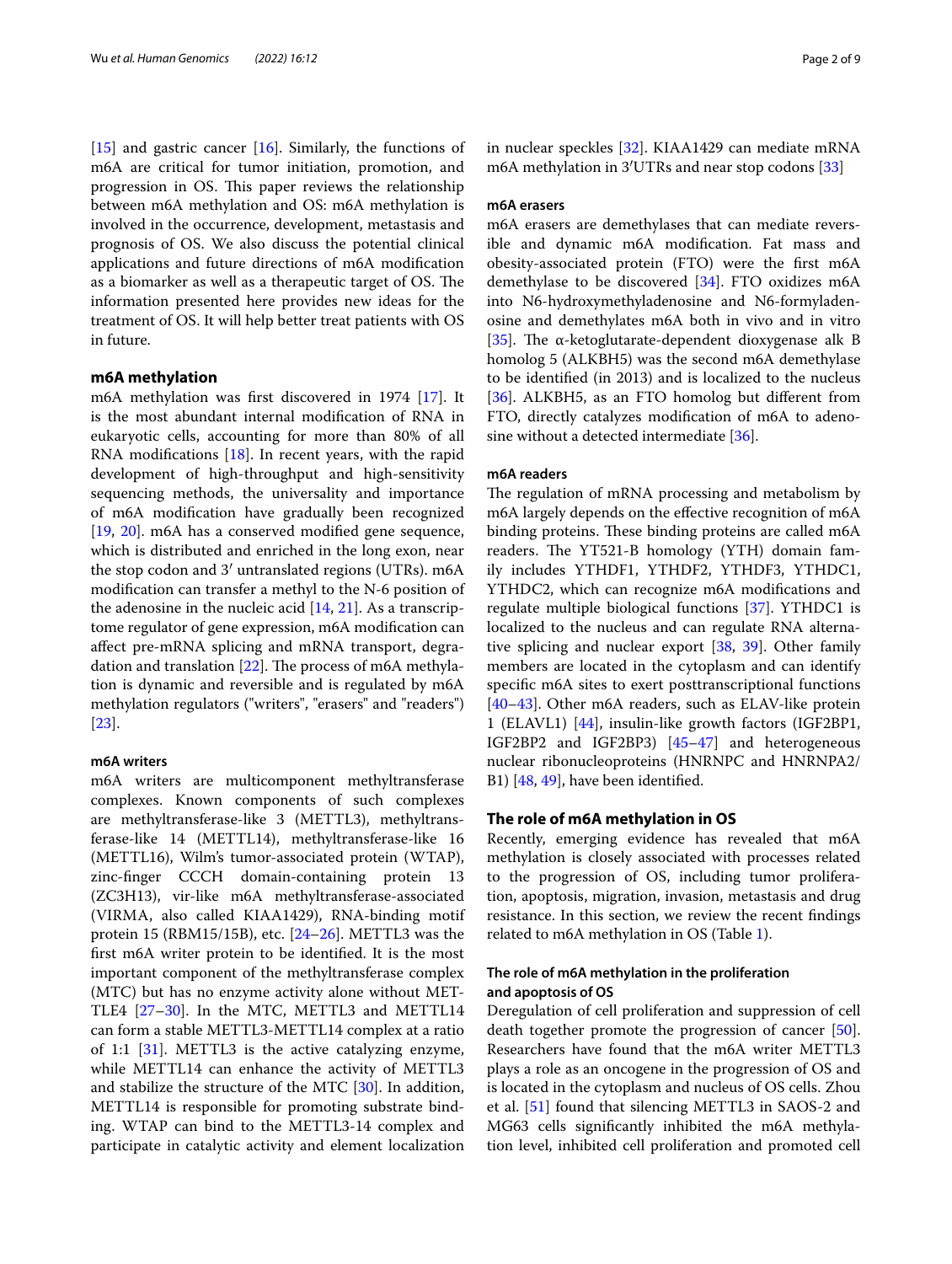[[15\]](#page-6-14) and gastric cancer [[16](#page-6-15)]. Similarly, the functions of m6A are critical for tumor initiation, promotion, and progression in OS. This paper reviews the relationship between m6A methylation and OS: m6A methylation is involved in the occurrence, development, metastasis and prognosis of OS. We also discuss the potential clinical applications and future directions of m6A modifcation as a biomarker as well as a therapeutic target of OS. The information presented here provides new ideas for the treatment of OS. It will help better treat patients with OS in future.

## **m6A methylation**

m6A methylation was frst discovered in 1974 [\[17](#page-6-16)]. It is the most abundant internal modifcation of RNA in eukaryotic cells, accounting for more than 80% of all RNA modifications  $[18]$  $[18]$  $[18]$ . In recent years, with the rapid development of high-throughput and high-sensitivity sequencing methods, the universality and importance of m6A modifcation have gradually been recognized [[19,](#page-6-18) [20](#page-6-19)]. m6A has a conserved modifed gene sequence, which is distributed and enriched in the long exon, near the stop codon and 3′ untranslated regions (UTRs). m6A modifcation can transfer a methyl to the N-6 position of the adenosine in the nucleic acid [[14,](#page-6-13) [21](#page-6-20)]. As a transcriptome regulator of gene expression, m6A modifcation can afect pre-mRNA splicing and mRNA transport, degradation and translation  $[22]$  $[22]$  $[22]$ . The process of m6A methylation is dynamic and reversible and is regulated by m6A methylation regulators ("writers", "erasers" and "readers") [[23\]](#page-6-22).

## **m6A writers**

m6A writers are multicomponent methyltransferase complexes. Known components of such complexes are methyltransferase-like 3 (METTL3), methyltransferase-like 14 (METTL14), methyltransferase-like 16 (METTL16), Wilm's tumor-associated protein (WTAP), zinc-fnger CCCH domain-containing protein 13 (ZC3H13), vir-like m6A methyltransferase-associated (VIRMA, also called KIAA1429), RNA-binding motif protein 15 (RBM15/15B), etc.  $[24-26]$  $[24-26]$ . METTL3 was the frst m6A writer protein to be identifed. It is the most important component of the methyltransferase complex (MTC) but has no enzyme activity alone without MET-TLE4 [\[27](#page-7-1)[–30\]](#page-7-2). In the MTC, METTL3 and METTL14 can form a stable METTL3-METTL14 complex at a ratio of 1:1 [[31](#page-7-3)]. METTL3 is the active catalyzing enzyme, while METTL14 can enhance the activity of METTL3 and stabilize the structure of the MTC [[30\]](#page-7-2). In addition, METTL14 is responsible for promoting substrate binding. WTAP can bind to the METTL3-14 complex and participate in catalytic activity and element localization in nuclear speckles [\[32](#page-7-4)]. KIAA1429 can mediate mRNA m6A methylation in 3′UTRs and near stop codons [\[33](#page-7-5)]

## **m6A erasers**

m6A erasers are demethylases that can mediate reversible and dynamic m6A modifcation. Fat mass and obesity-associated protein (FTO) were the frst m6A demethylase to be discovered [[34\]](#page-7-6). FTO oxidizes m6A into N6-hydroxymethyladenosine and N6-formyladenosine and demethylates m6A both in vivo and in vitro [[35\]](#page-7-7). The  $\alpha$ -ketoglutarate-dependent dioxygenase alk B homolog 5 (ALKBH5) was the second m6A demethylase to be identifed (in 2013) and is localized to the nucleus [[36\]](#page-7-8). ALKBH5, as an FTO homolog but different from FTO, directly catalyzes modifcation of m6A to adenosine without a detected intermediate [[36](#page-7-8)].

#### **m6A readers**

The regulation of mRNA processing and metabolism by m6A largely depends on the efective recognition of m6A binding proteins. These binding proteins are called m6A readers. The YT521-B homology (YTH) domain family includes YTHDF1, YTHDF2, YTHDF3, YTHDC1, YTHDC2, which can recognize m6A modifcations and regulate multiple biological functions [\[37](#page-7-9)]. YTHDC1 is localized to the nucleus and can regulate RNA alternative splicing and nuclear export [\[38](#page-7-10), [39\]](#page-7-11). Other family members are located in the cytoplasm and can identify specifc m6A sites to exert posttranscriptional functions [[40–](#page-7-12)[43\]](#page-7-13). Other m6A readers, such as ELAV-like protein 1 (ELAVL1) [[44\]](#page-7-14), insulin-like growth factors (IGF2BP1, IGF2BP2 and IGF2BP3) [\[45–](#page-7-15)[47\]](#page-7-16) and heterogeneous nuclear ribonucleoproteins (HNRNPC and HNRNPA2/ B1) [\[48](#page-7-17), [49](#page-7-18)], have been identifed.

## **The role of m6A methylation in OS**

Recently, emerging evidence has revealed that m6A methylation is closely associated with processes related to the progression of OS, including tumor proliferation, apoptosis, migration, invasion, metastasis and drug resistance. In this section, we review the recent fndings related to m6A methylation in OS (Table [1\)](#page-2-0).

## **The role of m6A methylation in the proliferation and apoptosis of OS**

Deregulation of cell proliferation and suppression of cell death together promote the progression of cancer [\[50](#page-7-19)]. Researchers have found that the m6A writer METTL3 plays a role as an oncogene in the progression of OS and is located in the cytoplasm and nucleus of OS cells. Zhou et al. [\[51](#page-7-20)] found that silencing METTL3 in SAOS-2 and MG63 cells signifcantly inhibited the m6A methylation level, inhibited cell proliferation and promoted cell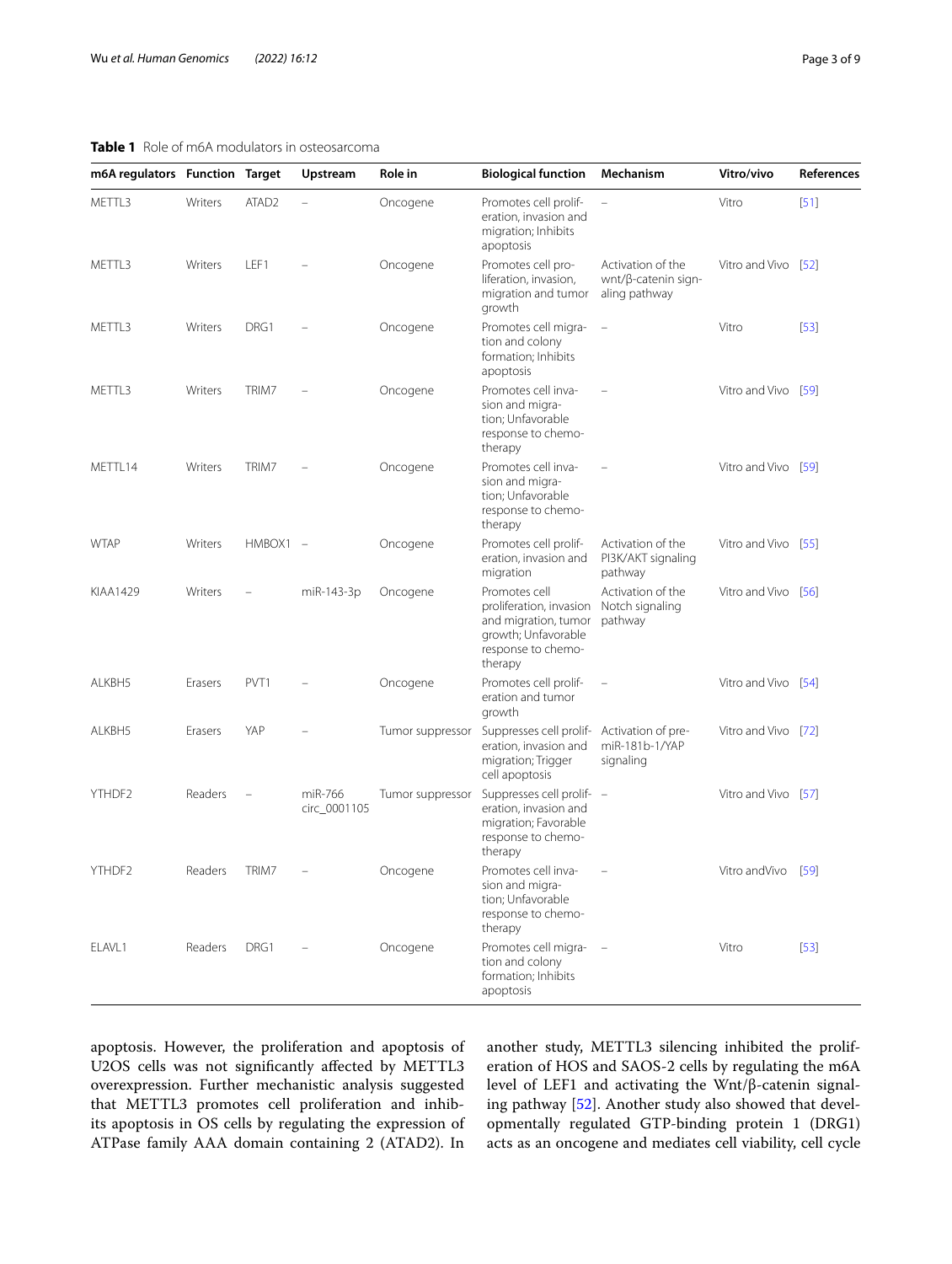## <span id="page-2-0"></span>**Table 1** Role of m6A modulators in osteosarcoma

| m6A regulators Function Target |         |                   | Upstream                | Role in          | <b>Biological function</b>                                                                                               | Mechanism                                                        | Vitro/vivo          | References |
|--------------------------------|---------|-------------------|-------------------------|------------------|--------------------------------------------------------------------------------------------------------------------------|------------------------------------------------------------------|---------------------|------------|
| METTL3                         | Writers | ATAD <sub>2</sub> | L,                      | Oncogene         | Promotes cell prolif-<br>eration, invasion and<br>migration; Inhibits<br>apoptosis                                       | $\equiv$                                                         | Vitro               | $[51]$     |
| METTL3                         | Writers | LEF1              |                         | Oncogene         | Promotes cell pro-<br>liferation, invasion,<br>migration and tumor<br>growth                                             | Activation of the<br>$wnt/\beta$ -catenin sign-<br>aling pathway | Vitro and Vivo [52] |            |
| METTL3                         | Writers | DRG1              |                         | Oncogene         | Promotes cell migra-<br>tion and colony<br>formation; Inhibits<br>apoptosis                                              | $\equiv$                                                         | Vitro               | [53]       |
| METTL3                         | Writers | TRIM7             |                         | Oncogene         | Promotes cell inva-<br>sion and migra-<br>tion; Unfavorable<br>response to chemo-<br>therapy                             |                                                                  | Vitro and Vivo [59] |            |
| METTL14                        | Writers | TRIM7             |                         | Oncogene         | Promotes cell inva-<br>sion and migra-<br>tion; Unfavorable<br>response to chemo-<br>therapy                             |                                                                  | Vitro and Vivo [59] |            |
| <b>WTAP</b>                    | Writers | HMBOX1 -          |                         | Oncogene         | Promotes cell prolif-<br>eration, invasion and<br>migration                                                              | Activation of the<br>PI3K/AKT signaling<br>pathway               | Vitro and Vivo [55] |            |
| KIAA1429                       | Writers |                   | miR-143-3p              | Oncogene         | Promotes cell<br>proliferation, invasion<br>and migration, tumor<br>growth; Unfavorable<br>response to chemo-<br>therapy | Activation of the<br>Notch signaling<br>pathway                  | Vitro and Vivo [56] |            |
| ALKBH5                         | Erasers | PVT <sub>1</sub>  |                         | Oncogene         | Promotes cell prolif-<br>eration and tumor<br>growth                                                                     | $\overline{\phantom{0}}$                                         | Vitro and Vivo [54] |            |
| ALKBH5                         | Erasers | YAP               |                         | Tumor suppressor | Suppresses cell prolif- Activation of pre-<br>eration, invasion and<br>migration; Trigger<br>cell apoptosis              | miR-181b-1/YAP<br>signaling                                      | Vitro and Vivo [72] |            |
| YTHDF2                         | Readers | $\overline{a}$    | miR-766<br>circ_0001105 | Tumor suppressor | Suppresses cell prolif- -<br>eration, invasion and<br>migration; Favorable<br>response to chemo-<br>therapy              |                                                                  | Vitro and Vivo [57] |            |
| YTHDF2                         | Readers | TRIM7             |                         | Oncogene         | Promotes cell inva-<br>sion and migra-<br>tion; Unfavorable<br>response to chemo-<br>therapy                             |                                                                  | Vitro and Vivo [59] |            |
| ELAVL1                         | Readers | DRG1              | $\qquad \qquad -$       | Oncogene         | Promotes cell migra-<br>tion and colony<br>formation: Inhibits<br>apoptosis                                              | $\sim$ $-$                                                       | Vitro               | $[53]$     |

apoptosis. However, the proliferation and apoptosis of U2OS cells was not signifcantly afected by METTL3 overexpression. Further mechanistic analysis suggested that METTL3 promotes cell proliferation and inhibits apoptosis in OS cells by regulating the expression of ATPase family AAA domain containing 2 (ATAD2). In

another study, METTL3 silencing inhibited the proliferation of HOS and SAOS-2 cells by regulating the m6A level of LEF1 and activating the Wnt/β-catenin signaling pathway [[52\]](#page-7-21). Another study also showed that developmentally regulated GTP-binding protein 1 (DRG1) acts as an oncogene and mediates cell viability, cell cycle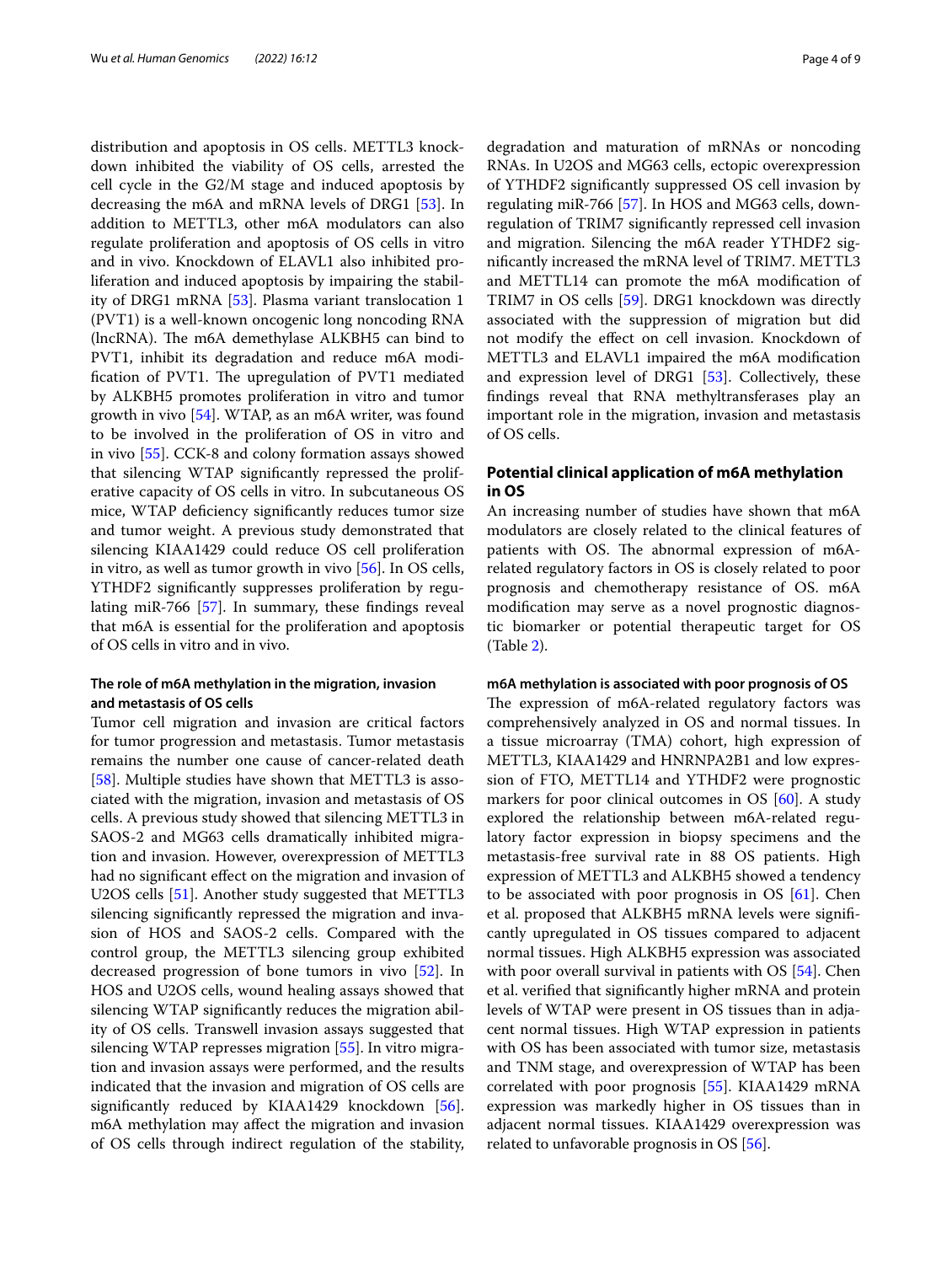distribution and apoptosis in OS cells. METTL3 knockdown inhibited the viability of OS cells, arrested the cell cycle in the G2/M stage and induced apoptosis by decreasing the m6A and mRNA levels of DRG1 [\[53](#page-7-22)]. In addition to METTL3, other m6A modulators can also regulate proliferation and apoptosis of OS cells in vitro and in vivo. Knockdown of ELAVL1 also inhibited proliferation and induced apoptosis by impairing the stability of DRG1 mRNA [[53](#page-7-22)]. Plasma variant translocation 1 (PVT1) is a well-known oncogenic long noncoding RNA (lncRNA). The m6A demethylase ALKBH5 can bind to PVT1, inhibit its degradation and reduce m6A modification of PVT1. The upregulation of PVT1 mediated by ALKBH5 promotes proliferation in vitro and tumor growth in vivo [\[54](#page-7-26)]. WTAP, as an m6A writer, was found to be involved in the proliferation of OS in vitro and in vivo [[55](#page-7-24)]. CCK-8 and colony formation assays showed that silencing WTAP signifcantly repressed the proliferative capacity of OS cells in vitro. In subcutaneous OS mice, WTAP defciency signifcantly reduces tumor size and tumor weight. A previous study demonstrated that silencing KIAA1429 could reduce OS cell proliferation in vitro, as well as tumor growth in vivo [[56\]](#page-7-25). In OS cells, YTHDF2 signifcantly suppresses proliferation by regulating miR-766 [\[57](#page-7-27)]. In summary, these fndings reveal that m6A is essential for the proliferation and apoptosis of OS cells in vitro and in vivo.

## **The role of m6A methylation in the migration, invasion and metastasis of OS cells**

Tumor cell migration and invasion are critical factors for tumor progression and metastasis. Tumor metastasis remains the number one cause of cancer-related death [[58\]](#page-7-28). Multiple studies have shown that METTL3 is associated with the migration, invasion and metastasis of OS cells. A previous study showed that silencing METTL3 in SAOS-2 and MG63 cells dramatically inhibited migration and invasion. However, overexpression of METTL3 had no significant effect on the migration and invasion of U2OS cells [[51\]](#page-7-20). Another study suggested that METTL3 silencing signifcantly repressed the migration and invasion of HOS and SAOS-2 cells. Compared with the control group, the METTL3 silencing group exhibited decreased progression of bone tumors in vivo [\[52](#page-7-21)]. In HOS and U2OS cells, wound healing assays showed that silencing WTAP signifcantly reduces the migration ability of OS cells. Transwell invasion assays suggested that silencing WTAP represses migration [\[55](#page-7-24)]. In vitro migration and invasion assays were performed, and the results indicated that the invasion and migration of OS cells are signifcantly reduced by KIAA1429 knockdown [\[56](#page-7-25)]. m6A methylation may afect the migration and invasion of OS cells through indirect regulation of the stability, degradation and maturation of mRNAs or noncoding RNAs. In U2OS and MG63 cells, ectopic overexpression of YTHDF2 signifcantly suppressed OS cell invasion by regulating miR-766 [[57\]](#page-7-27). In HOS and MG63 cells, downregulation of TRIM7 signifcantly repressed cell invasion and migration. Silencing the m6A reader YTHDF2 signifcantly increased the mRNA level of TRIM7. METTL3 and METTL14 can promote the m6A modifcation of TRIM7 in OS cells [\[59\]](#page-7-23). DRG1 knockdown was directly associated with the suppression of migration but did not modify the efect on cell invasion. Knockdown of METTL3 and ELAVL1 impaired the m6A modifcation and expression level of DRG1 [[53](#page-7-22)]. Collectively, these fndings reveal that RNA methyltransferases play an important role in the migration, invasion and metastasis of OS cells.

## **Potential clinical application of m6A methylation in OS**

An increasing number of studies have shown that m6A modulators are closely related to the clinical features of patients with OS. The abnormal expression of m6Arelated regulatory factors in OS is closely related to poor prognosis and chemotherapy resistance of OS. m6A modifcation may serve as a novel prognostic diagnostic biomarker or potential therapeutic target for OS (Table [2\)](#page-4-0).

#### **m6A methylation is associated with poor prognosis of OS**

The expression of m6A-related regulatory factors was comprehensively analyzed in OS and normal tissues. In a tissue microarray (TMA) cohort, high expression of METTL3, KIAA1429 and HNRNPA2B1 and low expression of FTO, METTL14 and YTHDF2 were prognostic markers for poor clinical outcomes in OS [\[60](#page-7-29)]. A study explored the relationship between m6A-related regulatory factor expression in biopsy specimens and the metastasis-free survival rate in 88 OS patients. High expression of METTL3 and ALKBH5 showed a tendency to be associated with poor prognosis in OS [\[61](#page-7-30)]. Chen et al. proposed that ALKBH5 mRNA levels were signifcantly upregulated in OS tissues compared to adjacent normal tissues. High ALKBH5 expression was associated with poor overall survival in patients with OS [[54](#page-7-26)]. Chen et al. verifed that signifcantly higher mRNA and protein levels of WTAP were present in OS tissues than in adjacent normal tissues. High WTAP expression in patients with OS has been associated with tumor size, metastasis and TNM stage, and overexpression of WTAP has been correlated with poor prognosis [[55\]](#page-7-24). KIAA1429 mRNA expression was markedly higher in OS tissues than in adjacent normal tissues. KIAA1429 overexpression was related to unfavorable prognosis in OS [\[56\]](#page-7-25).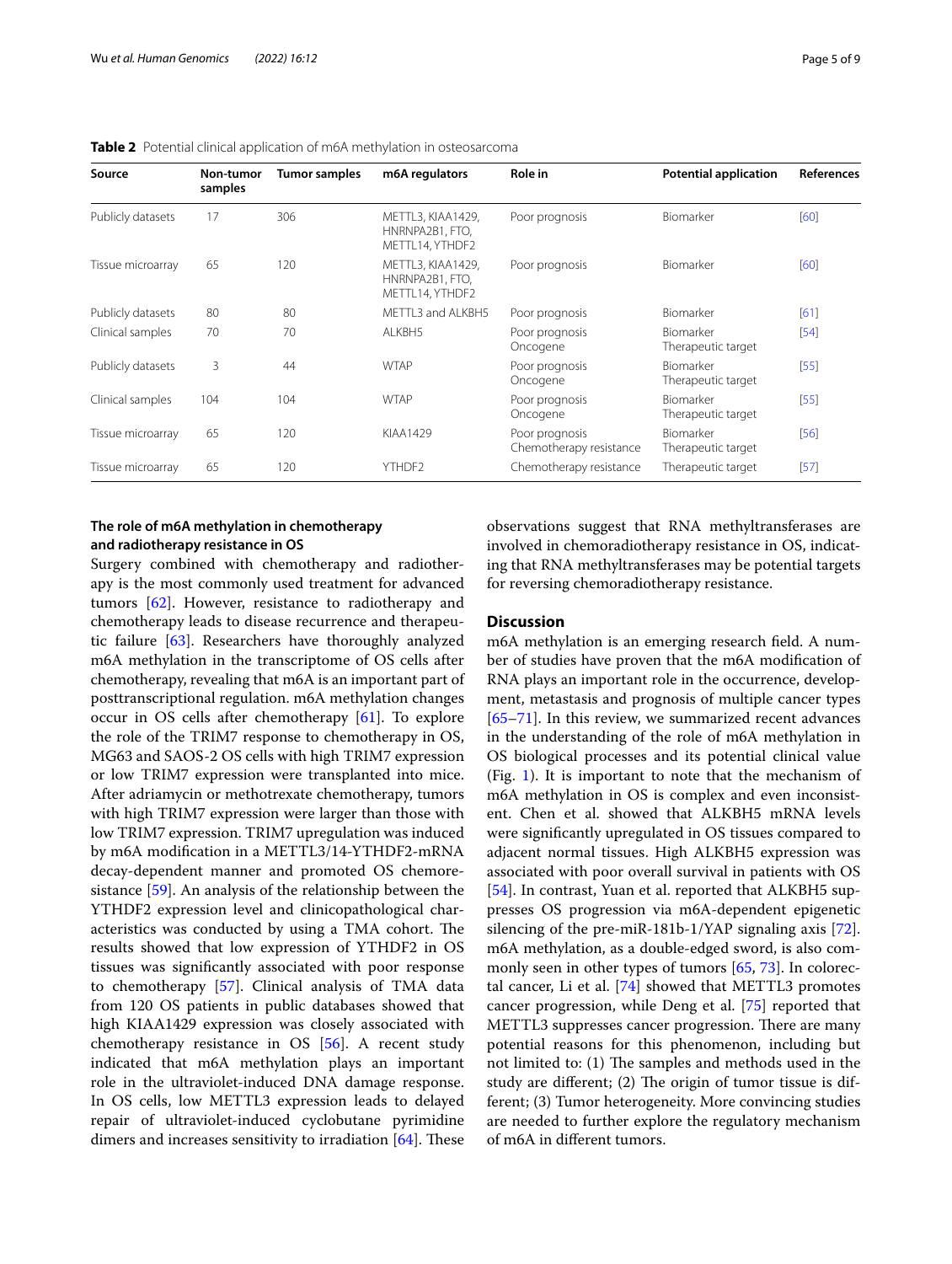| Source            | Non-tumor<br>samples | <b>Tumor samples</b> | m6A regulators                                                            | <b>Role in</b>                            | <b>Potential application</b>    | <b>References</b> |
|-------------------|----------------------|----------------------|---------------------------------------------------------------------------|-------------------------------------------|---------------------------------|-------------------|
| Publicly datasets | 17                   | 306                  | METTL3, KIAA1429.<br>HNRNPA2B1, FTO,<br>METTL14, YTHDF2                   | Poor prognosis                            | Biomarker                       | [60]              |
| Tissue microarray | 65                   | 120                  | METTL3, KIAA1429.<br>Poor prognosis<br>HNRNPA2B1, FTO,<br>METTL14, YTHDF2 |                                           | Biomarker                       | [60]              |
| Publicly datasets | 80                   | 80                   | MFTTL3 and ALKBH5                                                         | Poor prognosis                            | Biomarker                       | [61]              |
| Clinical samples  | 70                   | 70                   | ALKBH5                                                                    | Poor prognosis<br>Oncogene                | Biomarker<br>Therapeutic target | [54]              |
| Publicly datasets | 3                    | 44                   | <b>WTAP</b>                                                               | Poor prognosis<br>Oncogene                | Biomarker<br>Therapeutic target | [55]              |
| Clinical samples  | 104                  | 104                  | <b>WTAP</b>                                                               | Poor prognosis<br>Oncogene                | Biomarker<br>Therapeutic target | [55]              |
| Tissue microarray | 65                   | 120                  | KIAA1429                                                                  | Poor prognosis<br>Chemotherapy resistance | Biomarker<br>Therapeutic target | [56]              |
| Tissue microarray | 65                   | 120                  | YTHDF2                                                                    | Chemotherapy resistance                   | Therapeutic target              | $[57]$            |

<span id="page-4-0"></span>**Table 2** Potential clinical application of m6A methylation in osteosarcoma

# **The role of m6A methylation in chemotherapy and radiotherapy resistance in OS**

Surgery combined with chemotherapy and radiotherapy is the most commonly used treatment for advanced tumors [[62](#page-7-31)]. However, resistance to radiotherapy and chemotherapy leads to disease recurrence and therapeutic failure [\[63](#page-7-32)]. Researchers have thoroughly analyzed m6A methylation in the transcriptome of OS cells after chemotherapy, revealing that m6A is an important part of posttranscriptional regulation. m6A methylation changes occur in OS cells after chemotherapy [[61](#page-7-30)]. To explore the role of the TRIM7 response to chemotherapy in OS, MG63 and SAOS-2 OS cells with high TRIM7 expression or low TRIM7 expression were transplanted into mice. After adriamycin or methotrexate chemotherapy, tumors with high TRIM7 expression were larger than those with low TRIM7 expression. TRIM7 upregulation was induced by m6A modifcation in a METTL3/14-YTHDF2-mRNA decay-dependent manner and promoted OS chemoresistance [[59\]](#page-7-23). An analysis of the relationship between the YTHDF2 expression level and clinicopathological characteristics was conducted by using a TMA cohort. The results showed that low expression of YTHDF2 in OS tissues was signifcantly associated with poor response to chemotherapy [\[57](#page-7-27)]. Clinical analysis of TMA data from 120 OS patients in public databases showed that high KIAA1429 expression was closely associated with chemotherapy resistance in OS [\[56\]](#page-7-25). A recent study indicated that m6A methylation plays an important role in the ultraviolet-induced DNA damage response. In OS cells, low METTL3 expression leads to delayed repair of ultraviolet-induced cyclobutane pyrimidine dimers and increases sensitivity to irradiation  $[64]$  $[64]$ . These observations suggest that RNA methyltransferases are involved in chemoradiotherapy resistance in OS, indicating that RNA methyltransferases may be potential targets for reversing chemoradiotherapy resistance.

#### **Discussion**

m6A methylation is an emerging research feld. A number of studies have proven that the m6A modifcation of RNA plays an important role in the occurrence, development, metastasis and prognosis of multiple cancer types [[65–](#page-8-1)[71\]](#page-8-2). In this review, we summarized recent advances in the understanding of the role of m6A methylation in OS biological processes and its potential clinical value (Fig. [1\)](#page-5-0). It is important to note that the mechanism of m6A methylation in OS is complex and even inconsistent. Chen et al. showed that ALKBH5 mRNA levels were signifcantly upregulated in OS tissues compared to adjacent normal tissues. High ALKBH5 expression was associated with poor overall survival in patients with OS [[54\]](#page-7-26). In contrast, Yuan et al. reported that ALKBH5 suppresses OS progression via m6A-dependent epigenetic silencing of the pre-miR-181b-1/YAP signaling axis [\[72](#page-8-0)]. m6A methylation, as a double-edged sword, is also commonly seen in other types of tumors [[65,](#page-8-1) [73](#page-8-3)]. In colorectal cancer, Li et al. [\[74\]](#page-8-4) showed that METTL3 promotes cancer progression, while Deng et al. [[75\]](#page-8-5) reported that METTL3 suppresses cancer progression. There are many potential reasons for this phenomenon, including but not limited to:  $(1)$  The samples and methods used in the study are different;  $(2)$  The origin of tumor tissue is different; (3) Tumor heterogeneity. More convincing studies are needed to further explore the regulatory mechanism of m6A in diferent tumors.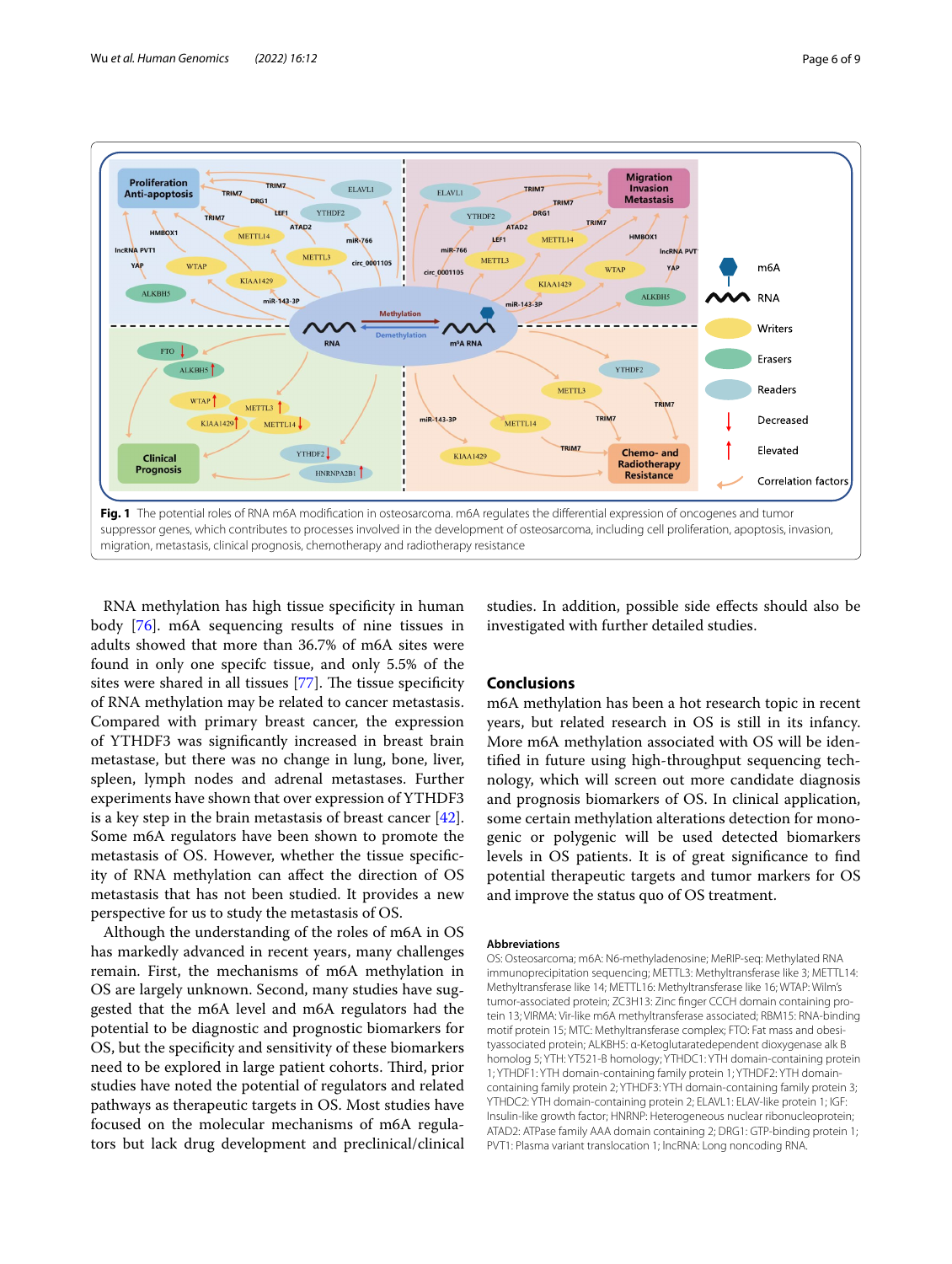

<span id="page-5-0"></span>RNA methylation has high tissue specifcity in human body [\[76](#page-8-6)]. m6A sequencing results of nine tissues in adults showed that more than 36.7% of m6A sites were found in only one specifc tissue, and only 5.5% of the sites were shared in all tissues  $[77]$  $[77]$ . The tissue specificity of RNA methylation may be related to cancer metastasis. Compared with primary breast cancer, the expression of YTHDF3 was signifcantly increased in breast brain metastase, but there was no change in lung, bone, liver, spleen, lymph nodes and adrenal metastases. Further experiments have shown that over expression of YTHDF3 is a key step in the brain metastasis of breast cancer [\[42](#page-7-34)]. Some m6A regulators have been shown to promote the metastasis of OS. However, whether the tissue specifcity of RNA methylation can afect the direction of OS metastasis that has not been studied. It provides a new perspective for us to study the metastasis of OS.

Although the understanding of the roles of m6A in OS has markedly advanced in recent years, many challenges remain. First, the mechanisms of m6A methylation in OS are largely unknown. Second, many studies have suggested that the m6A level and m6A regulators had the potential to be diagnostic and prognostic biomarkers for OS, but the specifcity and sensitivity of these biomarkers need to be explored in large patient cohorts. Third, prior studies have noted the potential of regulators and related pathways as therapeutic targets in OS. Most studies have focused on the molecular mechanisms of m6A regulators but lack drug development and preclinical/clinical

studies. In addition, possible side efects should also be investigated with further detailed studies.

## **Conclusions**

m6A methylation has been a hot research topic in recent years, but related research in OS is still in its infancy. More m6A methylation associated with OS will be identifed in future using high-throughput sequencing technology, which will screen out more candidate diagnosis and prognosis biomarkers of OS. In clinical application, some certain methylation alterations detection for monogenic or polygenic will be used detected biomarkers levels in OS patients. It is of great signifcance to fnd potential therapeutic targets and tumor markers for OS and improve the status quo of OS treatment.

#### **Abbreviations**

OS: Osteosarcoma; m6A: N6-methyladenosine; MeRIP-seq: Methylated RNA immunoprecipitation sequencing; METTL3: Methyltransferase like 3; METTL14: Methyltransferase like 14; METTL16: Methyltransferase like 16; WTAP: Wilm's tumor-associated protein; ZC3H13: Zinc fnger CCCH domain containing protein 13; VIRMA: Vir-like m6A methyltransferase associated; RBM15: RNA-binding motif protein 15; MTC: Methyltransferase complex; FTO: Fat mass and obesityassociated protein; ALKBH5: α-Ketoglutaratedependent dioxygenase alk B homolog 5; YTH: YT521-B homology; YTHDC1: YTH domain-containing protein 1; YTHDF1: YTH domain-containing family protein 1; YTHDF2: YTH domaincontaining family protein 2; YTHDF3: YTH domain-containing family protein 3; YTHDC2: YTH domain-containing protein 2; ELAVL1: ELAV-like protein 1; IGF: Insulin-like growth factor; HNRNP: Heterogeneous nuclear ribonucleoprotein; ATAD2: ATPase family AAA domain containing 2; DRG1: GTP-binding protein 1; PVT1: Plasma variant translocation 1; lncRNA: Long noncoding RNA.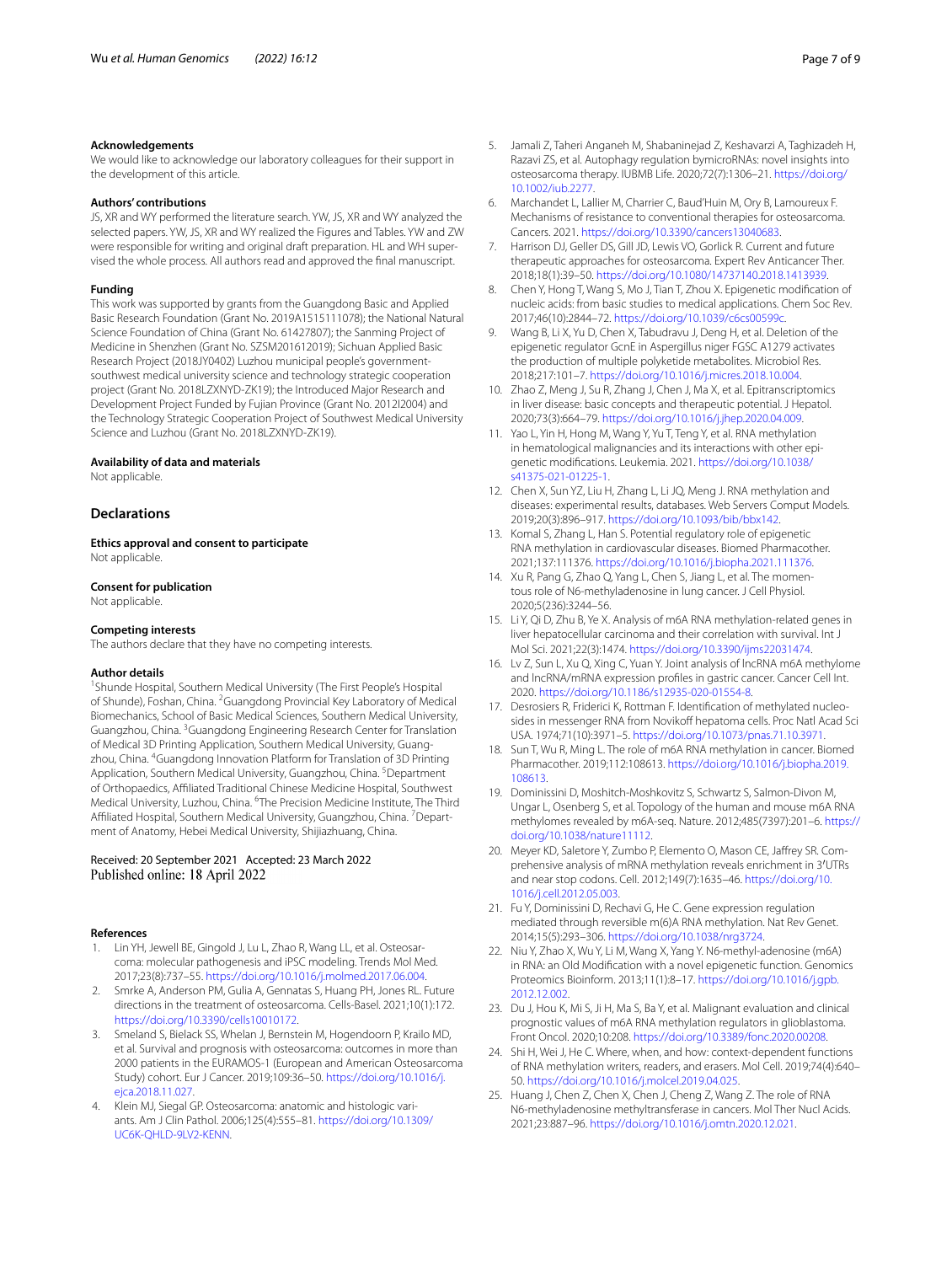#### **Acknowledgements**

We would like to acknowledge our laboratory colleagues for their support in the development of this article.

#### **Authors' contributions**

JS, XR and WY performed the literature search. YW, JS, XR and WY analyzed the selected papers. YW, JS, XR and WY realized the Figures and Tables. YW and ZW were responsible for writing and original draft preparation. HL and WH supervised the whole process. All authors read and approved the fnal manuscript.

#### **Funding**

This work was supported by grants from the Guangdong Basic and Applied Basic Research Foundation (Grant No. 2019A1515111078); the National Natural Science Foundation of China (Grant No. 61427807); the Sanming Project of Medicine in Shenzhen (Grant No. SZSM201612019); Sichuan Applied Basic Research Project (2018JY0402) Luzhou municipal people's governmentsouthwest medical university science and technology strategic cooperation project (Grant No. 2018LZXNYD-ZK19); the Introduced Major Research and Development Project Funded by Fujian Province (Grant No. 2012I2004) and the Technology Strategic Cooperation Project of Southwest Medical University Science and Luzhou (Grant No. 2018LZXNYD-ZK19).

#### **Availability of data and materials**

Not applicable.

## **Declarations**

**Ethics approval and consent to participate** Not applicable.

## **Consent for publication**

Not applicable.

### **Competing interests**

The authors declare that they have no competing interests.

#### **Author details**

<sup>1</sup> Shunde Hospital, Southern Medical University (The First People's Hospital of Shunde), Foshan, China. <sup>2</sup> Guangdong Provincial Key Laboratory of Medical Biomechanics, School of Basic Medical Sciences, Southern Medical University, Guangzhou, China. <sup>3</sup> Guangdong Engineering Research Center for Translation of Medical 3D Printing Application, Southern Medical University, Guangzhou, China. <sup>4</sup>Guangdong Innovation Platform for Translation of 3D Printing Application, Southern Medical University, Guangzhou, China. <sup>5</sup> Department of Orthopaedics, Afliated Traditional Chinese Medicine Hospital, Southwest Medical University, Luzhou, China. <sup>6</sup>The Precision Medicine Institute, The Third Affiliated Hospital, Southern Medical University, Guangzhou, China. <sup>7</sup> Department of Anatomy, Hebei Medical University, Shijiazhuang, China.

#### Received: 20 September 2021 Accepted: 23 March 2022 Published online: 18 April 2022

#### **References**

- <span id="page-6-0"></span>1. Lin YH, Jewell BE, Gingold J, Lu L, Zhao R, Wang LL, et al. Osteosarcoma: molecular pathogenesis and iPSC modeling. Trends Mol Med. 2017;23(8):737–55. [https://doi.org/10.1016/j.molmed.2017.06.004.](https://doi.org/10.1016/j.molmed.2017.06.004)
- <span id="page-6-1"></span>2. Smrke A, Anderson PM, Gulia A, Gennatas S, Huang PH, Jones RL. Future directions in the treatment of osteosarcoma. Cells-Basel. 2021;10(1):172. [https://doi.org/10.3390/cells10010172.](https://doi.org/10.3390/cells10010172)
- <span id="page-6-2"></span>3. Smeland S, Bielack SS, Whelan J, Bernstein M, Hogendoorn P, Krailo MD, et al. Survival and prognosis with osteosarcoma: outcomes in more than 2000 patients in the EURAMOS-1 (European and American Osteosarcoma Study) cohort. Eur J Cancer. 2019;109:36–50. [https://doi.org/10.1016/j.](https://doi.org/10.1016/j.ejca.2018.11.027) [ejca.2018.11.027.](https://doi.org/10.1016/j.ejca.2018.11.027)
- <span id="page-6-3"></span>4. Klein MJ, Siegal GP. Osteosarcoma: anatomic and histologic variants. Am J Clin Pathol. 2006;125(4):555–81. [https://doi.org/10.1309/](https://doi.org/10.1309/UC6K-QHLD-9LV2-KENN) [UC6K-QHLD-9LV2-KENN.](https://doi.org/10.1309/UC6K-QHLD-9LV2-KENN)
- <span id="page-6-4"></span>5. Jamali Z, Taheri Anganeh M, Shabaninejad Z, Keshavarzi A, Taghizadeh H, Razavi ZS, et al. Autophagy regulation bymicroRNAs: novel insights into osteosarcoma therapy. IUBMB Life. 2020;72(7):1306–21. [https://doi.org/](https://doi.org/10.1002/iub.2277) [10.1002/iub.2277](https://doi.org/10.1002/iub.2277).
- <span id="page-6-5"></span>6. Marchandet L, Lallier M, Charrier C, Baud'Huin M, Ory B, Lamoureux F. Mechanisms of resistance to conventional therapies for osteosarcoma. Cancers. 2021. [https://doi.org/10.3390/cancers13040683.](https://doi.org/10.3390/cancers13040683)
- <span id="page-6-6"></span>7. Harrison DJ, Geller DS, Gill JD, Lewis VO, Gorlick R. Current and future therapeutic approaches for osteosarcoma. Expert Rev Anticancer Ther. 2018;18(1):39–50.<https://doi.org/10.1080/14737140.2018.1413939>.
- <span id="page-6-7"></span>8. Chen Y, Hong T, Wang S, Mo J, Tian T, Zhou X. Epigenetic modifcation of nucleic acids: from basic studies to medical applications. Chem Soc Rev. 2017;46(10):2844–72. [https://doi.org/10.1039/c6cs00599c.](https://doi.org/10.1039/c6cs00599c)
- <span id="page-6-8"></span>Wang B, Li X, Yu D, Chen X, Tabudravu J, Deng H, et al. Deletion of the epigenetic regulator GcnE in Aspergillus niger FGSC A1279 activates the production of multiple polyketide metabolites. Microbiol Res. 2018;217:101–7.<https://doi.org/10.1016/j.micres.2018.10.004>.
- <span id="page-6-9"></span>10. Zhao Z, Meng J, Su R, Zhang J, Chen J, Ma X, et al. Epitranscriptomics in liver disease: basic concepts and therapeutic potential. J Hepatol. 2020;73(3):664–79. [https://doi.org/10.1016/j.jhep.2020.04.009.](https://doi.org/10.1016/j.jhep.2020.04.009)
- <span id="page-6-10"></span>11. Yao L, Yin H, Hong M, Wang Y, Yu T, Teng Y, et al. RNA methylation in hematological malignancies and its interactions with other epigenetic modifcations. Leukemia. 2021. [https://doi.org/10.1038/](https://doi.org/10.1038/s41375-021-01225-1) [s41375-021-01225-1](https://doi.org/10.1038/s41375-021-01225-1).
- <span id="page-6-11"></span>12. Chen X, Sun YZ, Liu H, Zhang L, Li JQ, Meng J. RNA methylation and diseases: experimental results, databases. Web Servers Comput Models. 2019;20(3):896–917. <https://doi.org/10.1093/bib/bbx142>.
- <span id="page-6-12"></span>13. Komal S, Zhang L, Han S. Potential regulatory role of epigenetic RNA methylation in cardiovascular diseases. Biomed Pharmacother. 2021;137:111376. <https://doi.org/10.1016/j.biopha.2021.111376>.
- <span id="page-6-13"></span>14. Xu R, Pang G, Zhao Q, Yang L, Chen S, Jiang L, et al. The momentous role of N6-methyladenosine in lung cancer. J Cell Physiol. 2020;5(236):3244–56.
- <span id="page-6-14"></span>15. Li Y, Qi D, Zhu B, Ye X. Analysis of m6A RNA methylation-related genes in liver hepatocellular carcinoma and their correlation with survival. Int J Mol Sci. 2021;22(3):1474.<https://doi.org/10.3390/ijms22031474>.
- <span id="page-6-15"></span>16. Lv Z, Sun L, Xu Q, Xing C, Yuan Y. Joint analysis of lncRNA m6A methylome and lncRNA/mRNA expression profles in gastric cancer. Cancer Cell Int. 2020. [https://doi.org/10.1186/s12935-020-01554-8.](https://doi.org/10.1186/s12935-020-01554-8)
- <span id="page-6-16"></span>17. Desrosiers R, Friderici K, Rottman F. Identifcation of methylated nucleosides in messenger RNA from Novikoff hepatoma cells. Proc Natl Acad Sci USA. 1974;71(10):3971–5.<https://doi.org/10.1073/pnas.71.10.3971>.
- <span id="page-6-17"></span>18. Sun T, Wu R, Ming L. The role of m6A RNA methylation in cancer. Biomed Pharmacother. 2019;112:108613. [https://doi.org/10.1016/j.biopha.2019.](https://doi.org/10.1016/j.biopha.2019.108613) [108613.](https://doi.org/10.1016/j.biopha.2019.108613)
- <span id="page-6-18"></span>19. Dominissini D, Moshitch-Moshkovitz S, Schwartz S, Salmon-Divon M, Ungar L, Osenberg S, et al. Topology of the human and mouse m6A RNA methylomes revealed by m6A-seq. Nature. 2012;485(7397):201–6. [https://](https://doi.org/10.1038/nature11112) [doi.org/10.1038/nature11112](https://doi.org/10.1038/nature11112).
- <span id="page-6-19"></span>20. Meyer KD, Saletore Y, Zumbo P, Elemento O, Mason CE, Jafrey SR. Comprehensive analysis of mRNA methylation reveals enrichment in 3′UTRs and near stop codons. Cell. 2012;149(7):1635–46. [https://doi.org/10.](https://doi.org/10.1016/j.cell.2012.05.003) [1016/j.cell.2012.05.003.](https://doi.org/10.1016/j.cell.2012.05.003)
- <span id="page-6-20"></span>21. Fu Y, Dominissini D, Rechavi G, He C. Gene expression regulation mediated through reversible m(6)A RNA methylation. Nat Rev Genet. 2014;15(5):293–306. <https://doi.org/10.1038/nrg3724>.
- <span id="page-6-21"></span>22. Niu Y, Zhao X, Wu Y, Li M, Wang X, Yang Y. N6-methyl-adenosine (m6A) in RNA: an Old Modifcation with a novel epigenetic function. Genomics Proteomics Bioinform. 2013;11(1):8–17. [https://doi.org/10.1016/j.gpb.](https://doi.org/10.1016/j.gpb.2012.12.002) [2012.12.002](https://doi.org/10.1016/j.gpb.2012.12.002).
- <span id="page-6-22"></span>23. Du J, Hou K, Mi S, Ji H, Ma S, Ba Y, et al. Malignant evaluation and clinical prognostic values of m6A RNA methylation regulators in glioblastoma. Front Oncol. 2020;10:208. [https://doi.org/10.3389/fonc.2020.00208.](https://doi.org/10.3389/fonc.2020.00208)
- <span id="page-6-23"></span>24. Shi H, Wei J, He C. Where, when, and how: context-dependent functions of RNA methylation writers, readers, and erasers. Mol Cell. 2019;74(4):640– 50. [https://doi.org/10.1016/j.molcel.2019.04.025.](https://doi.org/10.1016/j.molcel.2019.04.025)
- 25. Huang J, Chen Z, Chen X, Chen J, Cheng Z, Wang Z. The role of RNA N6-methyladenosine methyltransferase in cancers. Mol Ther Nucl Acids. 2021;23:887–96.<https://doi.org/10.1016/j.omtn.2020.12.021>.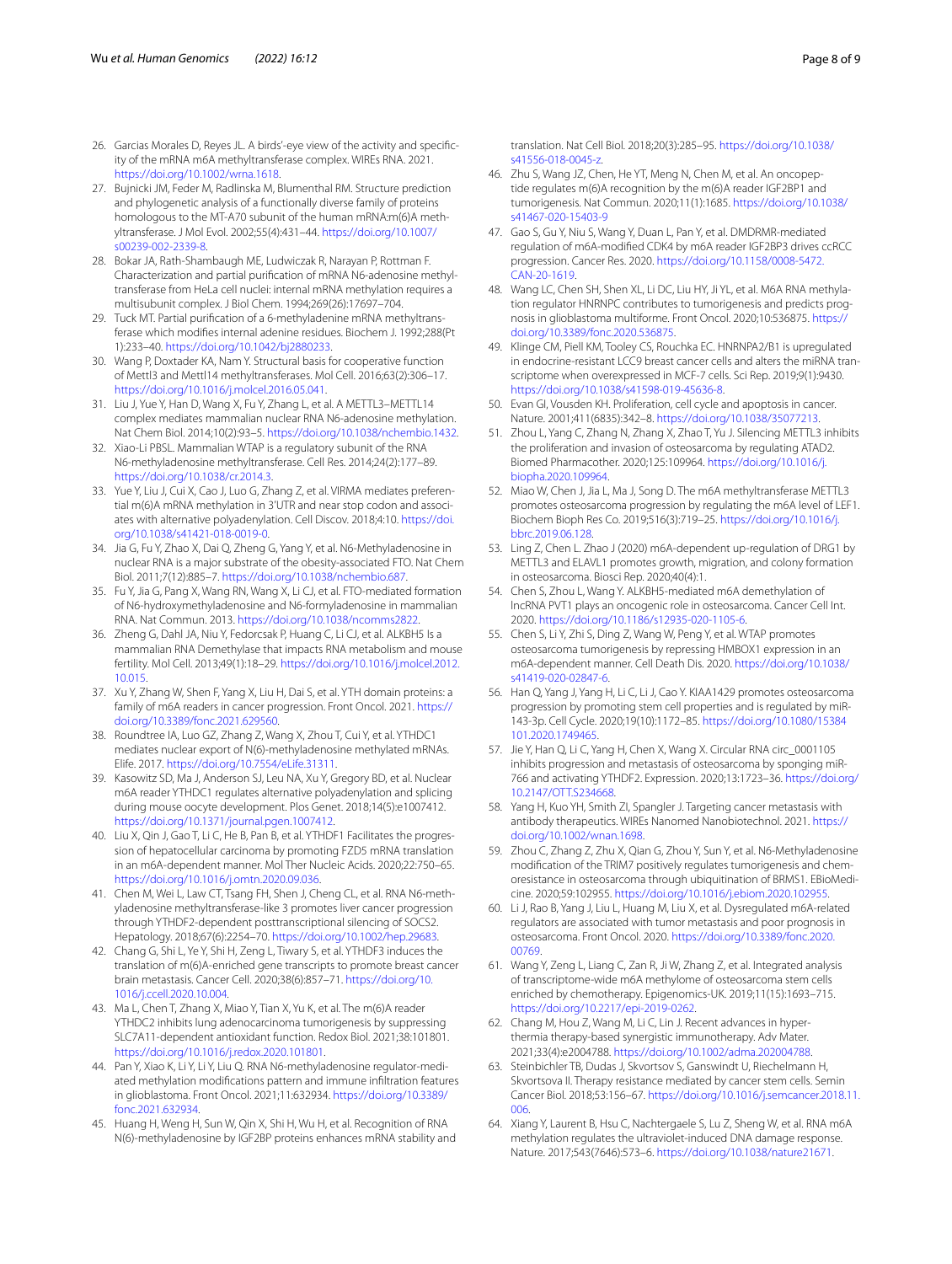- <span id="page-7-0"></span>26. Garcias Morales D, Reyes JL. A birds'-eye view of the activity and specifcity of the mRNA m6A methyltransferase complex. WIREs RNA. 2021. [https://doi.org/10.1002/wrna.1618.](https://doi.org/10.1002/wrna.1618)
- <span id="page-7-1"></span>27. Bujnicki JM, Feder M, Radlinska M, Blumenthal RM. Structure prediction and phylogenetic analysis of a functionally diverse family of proteins homologous to the MT-A70 subunit of the human mRNA:m(6)A methyltransferase. J Mol Evol. 2002;55(4):431–44. [https://doi.org/10.1007/](https://doi.org/10.1007/s00239-002-2339-8) [s00239-002-2339-8.](https://doi.org/10.1007/s00239-002-2339-8)
- 28. Bokar JA, Rath-Shambaugh ME, Ludwiczak R, Narayan P, Rottman F. Characterization and partial purifcation of mRNA N6-adenosine methyltransferase from HeLa cell nuclei: internal mRNA methylation requires a multisubunit complex. J Biol Chem. 1994;269(26):17697–704.
- 29. Tuck MT. Partial purifcation of a 6-methyladenine mRNA methyltransferase which modifes internal adenine residues. Biochem J. 1992;288(Pt 1):233–40. [https://doi.org/10.1042/bj2880233.](https://doi.org/10.1042/bj2880233)
- <span id="page-7-2"></span>30. Wang P, Doxtader KA, Nam Y. Structural basis for cooperative function of Mettl3 and Mettl14 methyltransferases. Mol Cell. 2016;63(2):306–17. <https://doi.org/10.1016/j.molcel.2016.05.041>.
- <span id="page-7-3"></span>31. Liu J, Yue Y, Han D, Wang X, Fu Y, Zhang L, et al. A METTL3–METTL14 complex mediates mammalian nuclear RNA N6-adenosine methylation. Nat Chem Biol. 2014;10(2):93–5. [https://doi.org/10.1038/nchembio.1432.](https://doi.org/10.1038/nchembio.1432)
- <span id="page-7-4"></span>32. Xiao-Li PBSL. Mammalian WTAP is a regulatory subunit of the RNA N6-methyladenosine methyltransferase. Cell Res. 2014;24(2):177–89. [https://doi.org/10.1038/cr.2014.3.](https://doi.org/10.1038/cr.2014.3)
- <span id="page-7-5"></span>33. Yue Y, Liu J, Cui X, Cao J, Luo G, Zhang Z, et al. VIRMA mediates preferential m(6)A mRNA methylation in 3'UTR and near stop codon and associates with alternative polyadenylation. Cell Discov. 2018;4:10. [https://doi.](https://doi.org/10.1038/s41421-018-0019-0) [org/10.1038/s41421-018-0019-0.](https://doi.org/10.1038/s41421-018-0019-0)
- <span id="page-7-6"></span>34. Jia G, Fu Y, Zhao X, Dai Q, Zheng G, Yang Y, et al. N6-Methyladenosine in nuclear RNA is a major substrate of the obesity-associated FTO. Nat Chem Biol. 2011;7(12):885–7. [https://doi.org/10.1038/nchembio.687.](https://doi.org/10.1038/nchembio.687)
- <span id="page-7-7"></span>35. Fu Y, Jia G, Pang X, Wang RN, Wang X, Li CJ, et al. FTO-mediated formation of N6-hydroxymethyladenosine and N6-formyladenosine in mammalian RNA. Nat Commun. 2013. [https://doi.org/10.1038/ncomms2822.](https://doi.org/10.1038/ncomms2822)
- <span id="page-7-8"></span>36. Zheng G, Dahl JA, Niu Y, Fedorcsak P, Huang C, Li CJ, et al. ALKBH5 Is a mammalian RNA Demethylase that impacts RNA metabolism and mouse fertility. Mol Cell. 2013;49(1):18–29. [https://doi.org/10.1016/j.molcel.2012.](https://doi.org/10.1016/j.molcel.2012.10.015) [10.015](https://doi.org/10.1016/j.molcel.2012.10.015).
- <span id="page-7-9"></span>37. Xu Y, Zhang W, Shen F, Yang X, Liu H, Dai S, et al. YTH domain proteins: a family of m6A readers in cancer progression. Front Oncol. 2021. [https://](https://doi.org/10.3389/fonc.2021.629560) [doi.org/10.3389/fonc.2021.629560.](https://doi.org/10.3389/fonc.2021.629560)
- <span id="page-7-10"></span>38. Roundtree IA, Luo GZ, Zhang Z, Wang X, Zhou T, Cui Y, et al. YTHDC1 mediates nuclear export of N(6)-methyladenosine methylated mRNAs. Elife. 2017. [https://doi.org/10.7554/eLife.31311.](https://doi.org/10.7554/eLife.31311)
- <span id="page-7-11"></span>39. Kasowitz SD, Ma J, Anderson SJ, Leu NA, Xu Y, Gregory BD, et al. Nuclear m6A reader YTHDC1 regulates alternative polyadenylation and splicing during mouse oocyte development. Plos Genet. 2018;14(5):e1007412. <https://doi.org/10.1371/journal.pgen.1007412>.
- <span id="page-7-12"></span>40. Liu X, Qin J, Gao T, Li C, He B, Pan B, et al. YTHDF1 Facilitates the progression of hepatocellular carcinoma by promoting FZD5 mRNA translation in an m6A-dependent manner. Mol Ther Nucleic Acids. 2020;22:750–65. [https://doi.org/10.1016/j.omtn.2020.09.036.](https://doi.org/10.1016/j.omtn.2020.09.036)
- 41. Chen M, Wei L, Law CT, Tsang FH, Shen J, Cheng CL, et al. RNA N6-methyladenosine methyltransferase-like 3 promotes liver cancer progression through YTHDF2-dependent posttranscriptional silencing of SOCS2. Hepatology. 2018;67(6):2254–70.<https://doi.org/10.1002/hep.29683>.
- <span id="page-7-34"></span>42. Chang G, Shi L, Ye Y, Shi H, Zeng L, Tiwary S, et al. YTHDF3 induces the translation of m(6)A-enriched gene transcripts to promote breast cancer brain metastasis. Cancer Cell. 2020;38(6):857–71. [https://doi.org/10.](https://doi.org/10.1016/j.ccell.2020.10.004) [1016/j.ccell.2020.10.004](https://doi.org/10.1016/j.ccell.2020.10.004).
- <span id="page-7-13"></span>43. Ma L, Chen T, Zhang X, Miao Y, Tian X, Yu K, et al. The m(6)A reader YTHDC2 inhibits lung adenocarcinoma tumorigenesis by suppressing SLC7A11-dependent antioxidant function. Redox Biol. 2021;38:101801. [https://doi.org/10.1016/j.redox.2020.101801.](https://doi.org/10.1016/j.redox.2020.101801)
- <span id="page-7-14"></span>44. Pan Y, Xiao K, Li Y, Li Y, Liu Q. RNA N6-methyladenosine regulator-mediated methylation modifcations pattern and immune infltration features in glioblastoma. Front Oncol. 2021;11:632934. [https://doi.org/10.3389/](https://doi.org/10.3389/fonc.2021.632934) [fonc.2021.632934](https://doi.org/10.3389/fonc.2021.632934).
- <span id="page-7-15"></span>45. Huang H, Weng H, Sun W, Qin X, Shi H, Wu H, et al. Recognition of RNA N(6)-methyladenosine by IGF2BP proteins enhances mRNA stability and

translation. Nat Cell Biol. 2018;20(3):285–95. [https://doi.org/10.1038/](https://doi.org/10.1038/s41556-018-0045-z) [s41556-018-0045-z](https://doi.org/10.1038/s41556-018-0045-z).

- 46. Zhu S, Wang JZ, Chen, He YT, Meng N, Chen M, et al. An oncopeptide regulates m(6)A recognition by the m(6)A reader IGF2BP1 and tumorigenesis. Nat Commun. 2020;11(1):1685. [https://doi.org/10.1038/](https://doi.org/10.1038/s41467-020-15403-9) [s41467-020-15403-9](https://doi.org/10.1038/s41467-020-15403-9)
- <span id="page-7-16"></span>47. Gao S, Gu Y, Niu S, Wang Y, Duan L, Pan Y, et al. DMDRMR-mediated regulation of m6A-modifed CDK4 by m6A reader IGF2BP3 drives ccRCC progression. Cancer Res. 2020. [https://doi.org/10.1158/0008-5472.](https://doi.org/10.1158/0008-5472.CAN-20-1619) [CAN-20-1619.](https://doi.org/10.1158/0008-5472.CAN-20-1619)
- <span id="page-7-17"></span>48. Wang LC, Chen SH, Shen XL, Li DC, Liu HY, Ji YL, et al. M6A RNA methylation regulator HNRNPC contributes to tumorigenesis and predicts prognosis in glioblastoma multiforme. Front Oncol. 2020;10:536875. [https://](https://doi.org/10.3389/fonc.2020.536875) [doi.org/10.3389/fonc.2020.536875.](https://doi.org/10.3389/fonc.2020.536875)
- <span id="page-7-18"></span>49. Klinge CM, Piell KM, Tooley CS, Rouchka EC. HNRNPA2/B1 is upregulated in endocrine-resistant LCC9 breast cancer cells and alters the miRNA transcriptome when overexpressed in MCF-7 cells. Sci Rep. 2019;9(1):9430. <https://doi.org/10.1038/s41598-019-45636-8>.
- <span id="page-7-19"></span>50. Evan GI, Vousden KH. Proliferation, cell cycle and apoptosis in cancer. Nature. 2001;411(6835):342–8.<https://doi.org/10.1038/35077213>.
- <span id="page-7-20"></span>51. Zhou L, Yang C, Zhang N, Zhang X, Zhao T, Yu J. Silencing METTL3 inhibits the proliferation and invasion of osteosarcoma by regulating ATAD2. Biomed Pharmacother. 2020;125:109964. [https://doi.org/10.1016/j.](https://doi.org/10.1016/j.biopha.2020.109964) [biopha.2020.109964](https://doi.org/10.1016/j.biopha.2020.109964).
- <span id="page-7-21"></span>52. Miao W, Chen J, Jia L, Ma J, Song D. The m6A methyltransferase METTL3 promotes osteosarcoma progression by regulating the m6A level of LEF1. Biochem Bioph Res Co. 2019;516(3):719–25. [https://doi.org/10.1016/j.](https://doi.org/10.1016/j.bbrc.2019.06.128) [bbrc.2019.06.128](https://doi.org/10.1016/j.bbrc.2019.06.128).
- <span id="page-7-22"></span>53. Ling Z, Chen L. Zhao J (2020) m6A-dependent up-regulation of DRG1 by METTL3 and ELAVL1 promotes growth, migration, and colony formation in osteosarcoma. Biosci Rep. 2020;40(4):1.
- <span id="page-7-26"></span>54. Chen S, Zhou L, Wang Y. ALKBH5-mediated m6A demethylation of lncRNA PVT1 plays an oncogenic role in osteosarcoma. Cancer Cell Int. 2020.<https://doi.org/10.1186/s12935-020-1105-6>.
- <span id="page-7-24"></span>55. Chen S, Li Y, Zhi S, Ding Z, Wang W, Peng Y, et al. WTAP promotes osteosarcoma tumorigenesis by repressing HMBOX1 expression in an m6A-dependent manner. Cell Death Dis. 2020. [https://doi.org/10.1038/](https://doi.org/10.1038/s41419-020-02847-6) [s41419-020-02847-6](https://doi.org/10.1038/s41419-020-02847-6).
- <span id="page-7-25"></span>56. Han Q, Yang J, Yang H, Li C, Li J, Cao Y. KIAA1429 promotes osteosarcoma progression by promoting stem cell properties and is regulated by miR-143-3p. Cell Cycle. 2020;19(10):1172–85. [https://doi.org/10.1080/15384](https://doi.org/10.1080/15384101.2020.1749465) [101.2020.1749465.](https://doi.org/10.1080/15384101.2020.1749465)
- <span id="page-7-27"></span>57. Jie Y, Han Q, Li C, Yang H, Chen X, Wang X. Circular RNA circ\_0001105 inhibits progression and metastasis of osteosarcoma by sponging miR-766 and activating YTHDF2. Expression. 2020;13:1723–36. [https://doi.org/](https://doi.org/10.2147/OTT.S234668) [10.2147/OTT.S234668](https://doi.org/10.2147/OTT.S234668).
- <span id="page-7-28"></span>58. Yang H, Kuo YH, Smith ZI, Spangler J. Targeting cancer metastasis with antibody therapeutics. WIREs Nanomed Nanobiotechnol. 2021. [https://](https://doi.org/10.1002/wnan.1698) [doi.org/10.1002/wnan.1698](https://doi.org/10.1002/wnan.1698).
- <span id="page-7-23"></span>59. Zhou C, Zhang Z, Zhu X, Qian G, Zhou Y, Sun Y, et al. N6-Methyladenosine modifcation of the TRIM7 positively regulates tumorigenesis and chemoresistance in osteosarcoma through ubiquitination of BRMS1. EBioMedicine. 2020;59:102955. <https://doi.org/10.1016/j.ebiom.2020.102955>.
- <span id="page-7-29"></span>60. Li J, Rao B, Yang J, Liu L, Huang M, Liu X, et al. Dysregulated m6A-related regulators are associated with tumor metastasis and poor prognosis in osteosarcoma. Front Oncol. 2020. [https://doi.org/10.3389/fonc.2020.](https://doi.org/10.3389/fonc.2020.00769) [00769](https://doi.org/10.3389/fonc.2020.00769).
- <span id="page-7-30"></span>61. Wang Y, Zeng L, Liang C, Zan R, Ji W, Zhang Z, et al. Integrated analysis of transcriptome-wide m6A methylome of osteosarcoma stem cells enriched by chemotherapy. Epigenomics-UK. 2019;11(15):1693–715. [https://doi.org/10.2217/epi-2019-0262.](https://doi.org/10.2217/epi-2019-0262)
- <span id="page-7-31"></span>62. Chang M, Hou Z, Wang M, Li C, Lin J. Recent advances in hyperthermia therapy-based synergistic immunotherapy. Adv Mater. 2021;33(4):e2004788.<https://doi.org/10.1002/adma.202004788>.
- <span id="page-7-32"></span>63. Steinbichler TB, Dudas J, Skvortsov S, Ganswindt U, Riechelmann H, Skvortsova II. Therapy resistance mediated by cancer stem cells. Semin Cancer Biol. 2018;53:156–67. [https://doi.org/10.1016/j.semcancer.2018.11.](https://doi.org/10.1016/j.semcancer.2018.11.006) [006.](https://doi.org/10.1016/j.semcancer.2018.11.006)
- <span id="page-7-33"></span>64. Xiang Y, Laurent B, Hsu C, Nachtergaele S, Lu Z, Sheng W, et al. RNA m6A methylation regulates the ultraviolet-induced DNA damage response. Nature. 2017;543(7646):573–6. [https://doi.org/10.1038/nature21671.](https://doi.org/10.1038/nature21671)